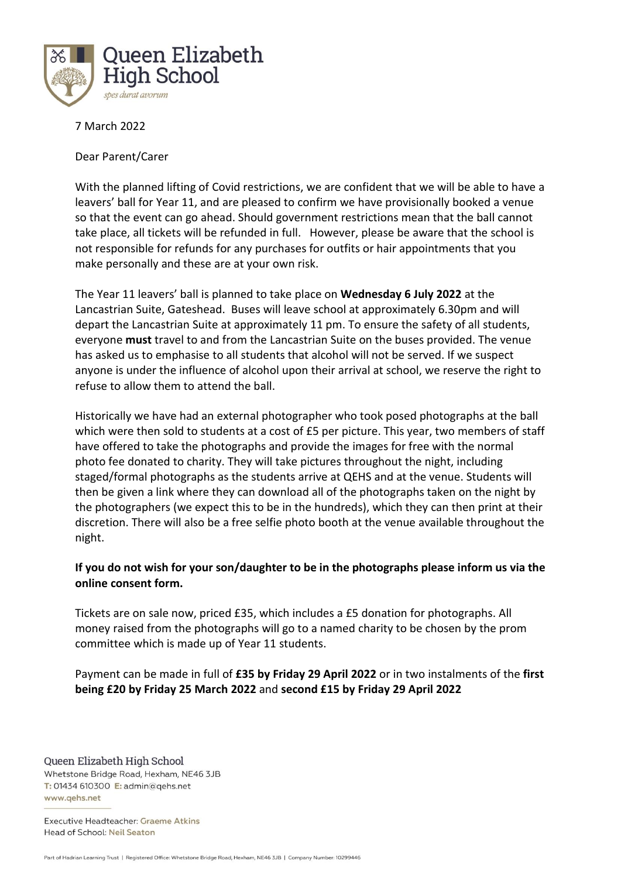

7 March 2022

Dear Parent/Carer

With the planned lifting of Covid restrictions, we are confident that we will be able to have a leavers' ball for Year 11, and are pleased to confirm we have provisionally booked a venue so that the event can go ahead. Should government restrictions mean that the ball cannot take place, all tickets will be refunded in full. However, please be aware that the school is not responsible for refunds for any purchases for outfits or hair appointments that you make personally and these are at your own risk.

The Year 11 leavers' ball is planned to take place on **Wednesday 6 July 2022** at the Lancastrian Suite, Gateshead. Buses will leave school at approximately 6.30pm and will depart the Lancastrian Suite at approximately 11 pm. To ensure the safety of all students, everyone **must** travel to and from the Lancastrian Suite on the buses provided. The venue has asked us to emphasise to all students that alcohol will not be served. If we suspect anyone is under the influence of alcohol upon their arrival at school, we reserve the right to refuse to allow them to attend the ball.

Historically we have had an external photographer who took posed photographs at the ball which were then sold to students at a cost of £5 per picture. This year, two members of staff have offered to take the photographs and provide the images for free with the normal photo fee donated to charity. They will take pictures throughout the night, including staged/formal photographs as the students arrive at QEHS and at the venue. Students will then be given a link where they can download all of the photographs taken on the night by the photographers (we expect this to be in the hundreds), which they can then print at their discretion. There will also be a free selfie photo booth at the venue available throughout the night.

## **If you do not wish for your son/daughter to be in the photographs please inform us via the online consent form.**

Tickets are on sale now, priced £35, which includes a £5 donation for photographs. All money raised from the photographs will go to a named charity to be chosen by the prom committee which is made up of Year 11 students.

Payment can be made in full of **£35 by Friday 29 April 2022** or in two instalments of the **first being £20 by Friday 25 March 2022** and **second £15 by Friday 29 April 2022**

Queen Elizabeth High School Whetstone Bridge Road, Hexham, NE46 3JB T: 01434 610300 E: admin@qehs.net www.qehs.net

Executive Headteacher: Graeme Atkins Head of School: Neil Seaton